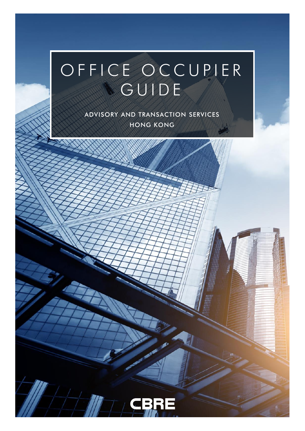# OFFICE OCCUPIER **SGUIDE**

**ADVISORY AND TRANSACTION SERVICES HONG KONG**

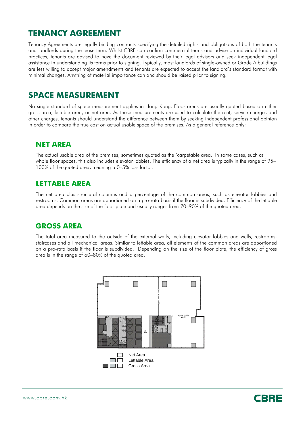## **TENANCY AGREEMENT**

Tenancy Agreements are legally binding contracts specifying the detailed rights and obligations of both the tenants and landlords during the lease term. Whilst CBRE can confirm commercial terms and advise on individual landlord practices, tenants are advised to have the document reviewed by their legal advisors and seek independent legal assistance in understanding its terms prior to signing. Typically, most landlords of single-owned or Grade A buildings are less willing to accept major amendments and tenants are expected to accept the landlord's standard format with minimal changes. Anything of material importance can and should be raised prior to signing.

## **SPACE MEASUREMENT**

No single standard of space measurement applies in Hong Kong. Floor areas are usually quoted based on either gross area, lettable area, or net area. As these measurements are used to calculate the rent, service charges and other charges, tenants should understand the difference between them by seeking independent professional opinion in order to compare the true cost on actual usable space of the premises. As a general reference only:

#### **NET AREA**

The actual usable area of the premises, sometimes quoted as the 'carpetable area.' In some cases, such as whole floor spaces, this also includes elevator lobbies. The efficiency of a net area is typically in the range of 95– 100% of the quoted area, meaning a 0–5% loss factor.

#### **LETTABLE AREA**

The net area plus structural columns and a percentage of the common areas, such as elevator lobbies and restrooms. Common areas are apportioned on a pro-rata basis if the floor is subdivided. Efficiency of the lettable area depends on the size of the floor plate and usually ranges from 70–90% of the quoted area.

#### **GROSS AREA**

The total area measured to the outside of the external walls, including elevator lobbies and wells, restrooms, staircases and all mechanical areas. Similar to lettable area, all elements of the common areas are apportioned on a pro-rata basis if the floor is subdivided. Depending on the size of the floor plate, the efficiency of gross area is in the range of 60–80% of the quoted area.



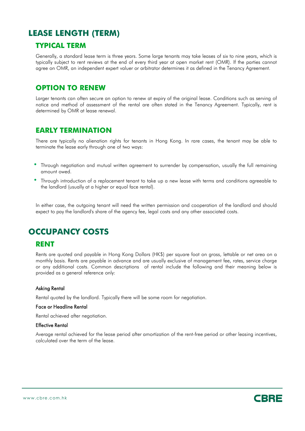## **LEASE LENGTH (TERM)**

#### **TYPICAL TERM**

Generally, a standard lease term is three years. Some large tenants may take leases of six to nine years, which is typically subject to rent reviews at the end of every third year at open market rent (OMR). If the parties cannot agree on OMR, an independent expert valuer or arbitrator determines it as defined in the Tenancy Agreement.

#### **OPTION TO RENEW**

Larger tenants can often secure an option to renew at expiry of the original lease. Conditions such as serving of notice and method of assessment of the rental are often stated in the Tenancy Agreement. Typically, rent is determined by OMR at lease renewal.

#### **EARLY TERMINATION**

There are typically no alienation rights for tenants in Hong Kong. In rare cases, the tenant may be able to terminate the lease early through one of two ways:

- Through negotiation and mutual written agreement to surrender by compensation, usually the full remaining amount owed.
- Through introduction of <sup>a</sup> replacement tenant to take up <sup>a</sup> new lease with terms and conditions agreeable to the landlord (usually at a higher or equal face rental).

In either case, the outgoing tenant will need the written permission and cooperation of the landlord and should expect to pay the landlord's share of the agency fee, legal costs and any other associated costs.

## **OCCUPANCY COSTS**

#### **RENT**

Rents are quoted and payable in Hong Kong Dollars (HK\$) per square foot on gross, lettable or net area on a monthly basis. Rents are payable in advance and are usually exclusive of management fee, rates, service charge or any additional costs. Common descriptions of rental include the following and their meaning below is provided as a general reference only:

#### Asking Rental

Rental quoted by the landlord. Typically there will be some room for negotiation.

#### Face or Headline Rental

Rental achieved after negotiation.

#### Effective Rental

Average rental achieved for the lease period after amortization of the rent-free period or other leasing incentives, calculated over the term of the lease.



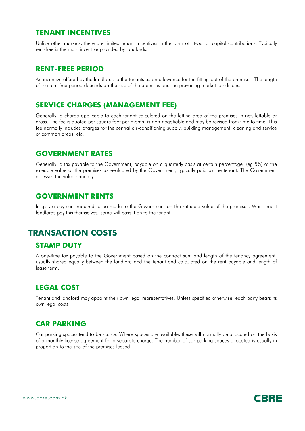#### **TENANT INCENTIVES**

Unlike other markets, there are limited tenant incentives in the form of fit-out or capital contributions. Typically rent-free is the main incentive provided by landlords.

#### **RENT-FREE PERIOD**

An incentive offered by the landlords to the tenants as an allowance for the fitting-out of the premises. The length of the rent-free period depends on the size of the premises and the prevailing market conditions.

#### **SERVICE CHARGES (MANAGEMENT FEE)**

Generally, a charge applicable to each tenant calculated on the letting area of the premises in net, lettable or gross. The fee is quoted per square foot per month, is non-negotiable and may be revised from time to time. This fee normally includes charges for the central air-conditioning supply, building management, cleaning and service of common areas, etc.

#### **GOVERNMENT RATES**

Generally, a tax payable to the Government, payable on a quarterly basis at certain percentage (eg 5%) of the rateable value of the premises as evaluated by the Government, typically paid by the tenant. The Government assesses the value annually.

#### **GOVERNMENT RENTS**

In gist, a payment required to be made to the Government on the rateable value of the premises. Whilst most landlords pay this themselves, some will pass it on to the tenant.

#### **TRANSACTION COSTS**

#### **STAMP DUTY**

A one-time tax payable to the Government based on the contract sum and length of the tenancy agreement, usually shared equally between the landlord and the tenant and calculated on the rent payable and length of lease term.

#### **LEGAL COST**

Tenant and landlord may appoint their own legal representatives. Unless specified otherwise, each party bears its own legal costs.

#### **CAR PARKING**

Car parking spaces tend to be scarce. Where spaces are available, these will normally be allocated on the basis of a monthly license agreement for a separate charge. The number of car parking spaces allocated is usually in proportion to the size of the premises leased.

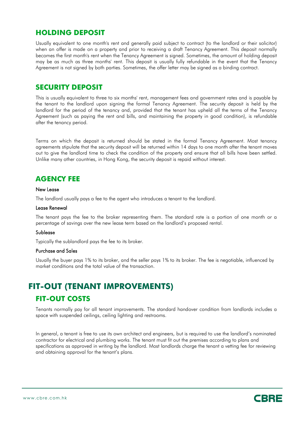#### **HOLDING DEPOSIT**

Usually equivalent to one month's rent and generally paid subject to contract (to the landlord or their solicitor) when an offer is made on a property and prior to receiving a draft Tenancy Agreement. This deposit normally becomes the first month's rent when the Tenancy Agreement is signed. Sometimes, the amount of holding deposit may be as much as three months' rent. This deposit is usually fully refundable in the event that the Tenancy Agreement is not signed by both parties. Sometimes, the offer letter may be signed as a binding contract.

#### **SECURITY DEPOSIT**

This is usually equivalent to three to six months' rent, management fees and government rates and is payable by the tenant to the landlord upon signing the formal Tenancy Agreement. The security deposit is held by the landlord for the period of the tenancy and, provided that the tenant has upheld all the terms of the Tenancy Agreement (such as paying the rent and bills, and maintaining the property in good condition), is refundable after the tenancy period.

Terms on which the deposit is returned should be stated in the formal Tenancy Agreement. Most tenancy agreements stipulate that the security deposit will be returned within 14 days to one month after the tenant moves out to give the landlord time to check the condition of the property and ensure that all bills have been settled. Unlike many other countries, in Hong Kong, the security deposit is repaid without interest.

## **AGENCY FEE**

#### New Lease

The landlord usually pays a fee to the agent who introduces a tenant to the landlord.

#### Lease Renewal

The tenant pays the fee to the broker representing them. The standard rate is a portion of one month or a percentage of savings over the new lease term based on the landlord's proposed rental.

#### Sublease

Typically the sublandlord pays the fee to its broker.

#### Purchase and Sales

Usually the buyer pays 1% to its broker, and the seller pays 1% to its broker. The fee is negotiable, influenced by market conditions and the total value of the transaction.

## **FIT-OUT (TENANT IMPROVEMENTS) FIT-OUT COSTS**

Tenants normally pay for all tenant improvements. The standard handover condition from landlords includes a space with suspended ceilings, ceiling lighting and restrooms.

In general, a tenant is free to use its own architect and engineers, but is required to use the landlord's nominated contractor for electrical and plumbing works. The tenant must fit out the premises according to plans and specifications as approved in writing by the landlord. Most landlords charge the tenant a vetting fee for reviewing and obtaining approval for the tenant's plans.

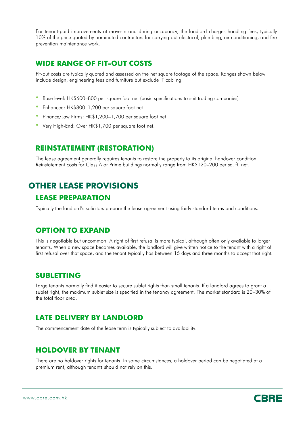For tenant-paid improvements at move-in and during occupancy, the landlord charges handling fees, typically 10% of the price quoted by nominated contractors for carrying out electrical, plumbing, air conditioning, and fire prevention maintenance work.

#### **WIDE RANGE OF FIT-OUT COSTS**

Fit-out costs are typically quoted and assessed on the net square footage of the space. Ranges shown below include design, engineering fees and furniture but exclude IT cabling.

- Base level: HK\$600–800 per square foot net (basic specifications to suit trading companies)
- Enhanced: HK\$800–1,200 per square foot net
- Finance/Law Firms: HK\$1,200–1,700 per square foot net
- Very High-End: Over HK\$1,700 per square foot net.

#### **REINSTATEMENT (RESTORATION)**

The lease agreement generally requires tenants to restore the property to its original handover condition. Reinstatement costs for Class A or Prime buildings normally range from HK\$120–200 per sq. ft. net.

## **OTHER LEASE PROVISIONS**

#### **LEASE PREPARATION**

Typically the landlord's solicitors prepare the lease agreement using fairly standard terms and conditions.

#### **OPTION TO EXPAND**

This is negotiable but uncommon. A right of first refusal is more typical, although often only available to larger tenants. When a new space becomes available, the landlord will give written notice to the tenant with a right of first refusal over that space, and the tenant typically has between 15 days and three months to accept that right.

#### **SUBLETTING**

Large tenants normally find it easier to secure sublet rights than small tenants. If a landlord agrees to grant a sublet right, the maximum sublet size is specified in the tenancy agreement. The market standard is 20–30% of the total floor area.

#### **LATE DELIVERY BY LANDLORD**

The commencement date of the lease term is typically subject to availability.

#### **HOLDOVER BY TENANT**

There are no holdover rights for tenants. In some circumstances, a holdover period can be negotiated at a premium rent, although tenants should not rely on this.

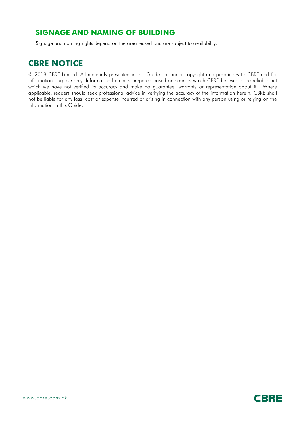#### **SIGNAGE AND NAMING OF BUILDING**

Signage and naming rights depend on the area leased and are subject to availability.

## **CBRE NOTICE**

© 2018 CBRE Limited. All materials presented in this Guide are under copyright and proprietary to CBRE and for information purpose only. Information herein is prepared based on sources which CBRE believes to be reliable but which we have not verified its accuracy and make no guarantee, warranty or representation about it. Where applicable, readers should seek professional advice in verifying the accuracy of the information herein. CBRE shall not be liable for any loss, cost or expense incurred or arising in connection with any person using or relying on the information in this Guide.